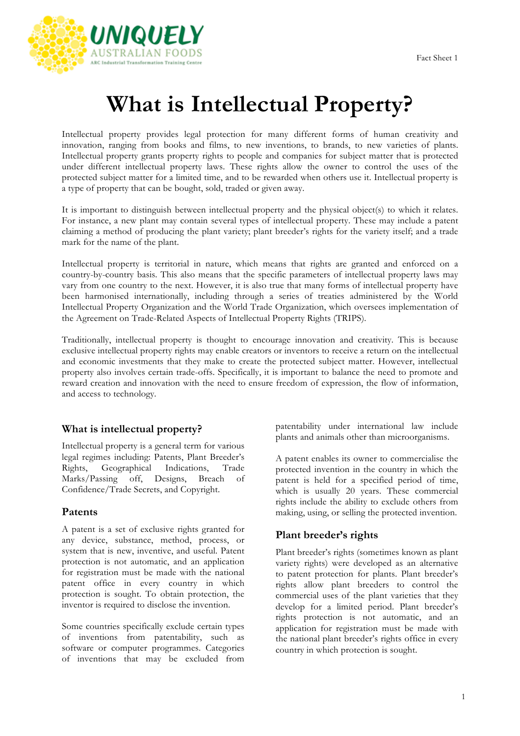

# **What is Intellectual Property?**

Intellectual property provides legal protection for many different forms of human creativity and innovation, ranging from books and films, to new inventions, to brands, to new varieties of plants. Intellectual property grants property rights to people and companies for subject matter that is protected under different intellectual property laws. These rights allow the owner to control the uses of the protected subject matter for a limited time, and to be rewarded when others use it. Intellectual property is a type of property that can be bought, sold, traded or given away.

It is important to distinguish between intellectual property and the physical object(s) to which it relates. For instance, a new plant may contain several types of intellectual property. These may include a patent claiming a method of producing the plant variety; plant breeder's rights for the variety itself; and a trade mark for the name of the plant.

Intellectual property is territorial in nature, which means that rights are granted and enforced on a country-by-country basis. This also means that the specific parameters of intellectual property laws may vary from one country to the next. However, it is also true that many forms of intellectual property have been harmonised internationally, including through a series of treaties administered by the World Intellectual Property Organization and the World Trade Organization, which oversees implementation of the Agreement on Trade-Related Aspects of Intellectual Property Rights (TRIPS).

Traditionally, intellectual property is thought to encourage innovation and creativity. This is because exclusive intellectual property rights may enable creators or inventors to receive a return on the intellectual and economic investments that they make to create the protected subject matter. However, intellectual property also involves certain trade-offs. Specifically, it is important to balance the need to promote and reward creation and innovation with the need to ensure freedom of expression, the flow of information, and access to technology.

#### **What is intellectual property?**

Intellectual property is a general term for various legal regimes including: Patents, Plant Breeder's Rights, Geographical Indications, Trade Marks/Passing off, Designs, Breach of Confidence/Trade Secrets, and Copyright.

#### **Patents**

A patent is a set of exclusive rights granted for any device, substance, method, process, or system that is new, inventive, and useful. Patent protection is not automatic, and an application for registration must be made with the national patent office in every country in which protection is sought. To obtain protection, the inventor is required to disclose the invention.

Some countries specifically exclude certain types of inventions from patentability, such as software or computer programmes. Categories of inventions that may be excluded from patentability under international law include plants and animals other than microorganisms.

A patent enables its owner to commercialise the protected invention in the country in which the patent is held for a specified period of time, which is usually 20 years. These commercial rights include the ability to exclude others from making, using, or selling the protected invention.

#### **Plant breeder's rights**

Plant breeder's rights (sometimes known as plant variety rights) were developed as an alternative to patent protection for plants. Plant breeder's rights allow plant breeders to control the commercial uses of the plant varieties that they develop for a limited period. Plant breeder's rights protection is not automatic, and an application for registration must be made with the national plant breeder's rights office in every country in which protection is sought.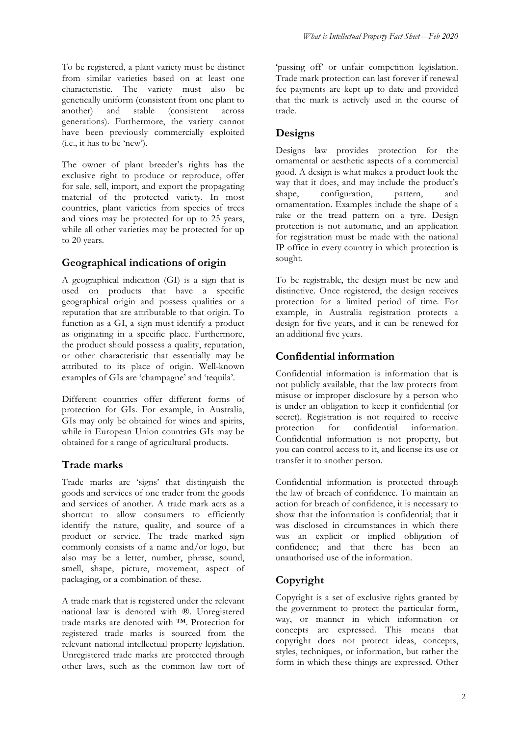The owner of plant breeder's rights has the exclusive right to produce or reproduce, offer for sale, sell, import, and export the propagating material of the protected variety. In most countries, plant varieties from species of trees and vines may be protected for up to 25 years, while all other varieties may be protected for up to 20 years.

(i.e., it has to be 'new').

## **Geographical indications of origin**

A geographical indication (GI) is a sign that is used on products that have a specific geographical origin and possess qualities or a reputation that are attributable to that origin. To function as a GI, a sign must identify a product as originating in a specific place. Furthermore, the product should possess a quality, reputation, or other characteristic that essentially may be attributed to its place of origin. Well-known examples of GIs are 'champagne' and 'tequila'.

Different countries offer different forms of protection for GIs. For example, in Australia, GIs may only be obtained for wines and spirits, while in European Union countries GIs may be obtained for a range of agricultural products.

## **Trade marks**

Trade marks are 'signs' that distinguish the goods and services of one trader from the goods and services of another. A trade mark acts as a shortcut to allow consumers to efficiently identify the nature, quality, and source of a product or service. The trade marked sign commonly consists of a name and/or logo, but also may be a letter, number, phrase, sound, smell, shape, picture, movement, aspect of packaging, or a combination of these.

A trade mark that is registered under the relevant national law is denoted with ®. Unregistered trade marks are denoted with ™. Protection for registered trade marks is sourced from the relevant national intellectual property legislation. Unregistered trade marks are protected through other laws, such as the common law tort of

'passing off' or unfair competition legislation. Trade mark protection can last forever if renewal fee payments are kept up to date and provided that the mark is actively used in the course of trade.

#### **Designs**

Designs law provides protection for the ornamental or aesthetic aspects of a commercial good. A design is what makes a product look the way that it does, and may include the product's shape, configuration, pattern, and ornamentation. Examples include the shape of a rake or the tread pattern on a tyre. Design protection is not automatic, and an application for registration must be made with the national IP office in every country in which protection is sought.

To be registrable, the design must be new and distinctive. Once registered, the design receives protection for a limited period of time. For example, in Australia registration protects a design for five years, and it can be renewed for an additional five years.

## **Confidential information**

Confidential information is information that is not publicly available, that the law protects from misuse or improper disclosure by a person who is under an obligation to keep it confidential (or secret). Registration is not required to receive<br>protection for confidential information. protection for confidential information. Confidential information is not property, but you can control access to it, and license its use or transfer it to another person.

Confidential information is protected through the law of breach of confidence. To maintain an action for breach of confidence, it is necessary to show that the information is confidential; that it was disclosed in circumstances in which there was an explicit or implied obligation of confidence; and that there has been an unauthorised use of the information.

## **Copyright**

Copyright is a set of exclusive rights granted by the government to protect the particular form, way, or manner in which information or concepts are expressed. This means that copyright does not protect ideas, concepts, styles, techniques, or information, but rather the form in which these things are expressed. Other